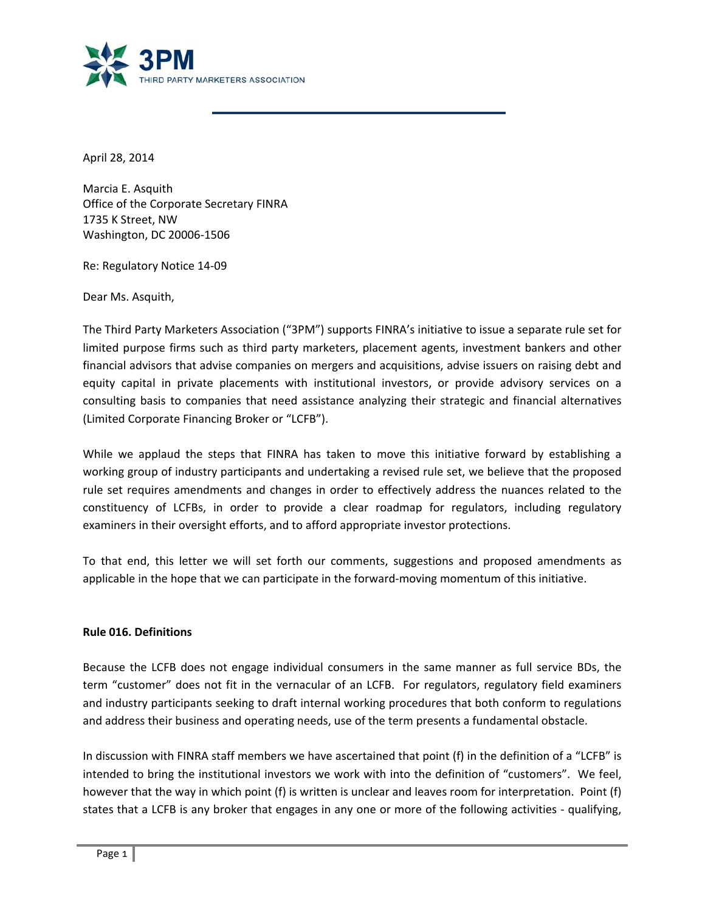

April 28, 2014

Marcia E. Asquith Office of the Corporate Secretary FINRA 1735 K Street, NW Washington, DC 20006‐1506

Re: Regulatory Notice 14‐09

Dear Ms. Asquith,

The Third Party Marketers Association ("3PM") supports FINRA's initiative to issue a separate rule set for limited purpose firms such as third party marketers, placement agents, investment bankers and other financial advisors that advise companies on mergers and acquisitions, advise issuers on raising debt and equity capital in private placements with institutional investors, or provide advisory services on a consulting basis to companies that need assistance analyzing their strategic and financial alternatives (Limited Corporate Financing Broker or "LCFB").

While we applaud the steps that FINRA has taken to move this initiative forward by establishing a working group of industry participants and undertaking a revised rule set, we believe that the proposed rule set requires amendments and changes in order to effectively address the nuances related to the constituency of LCFBs, in order to provide a clear roadmap for regulators, including regulatory examiners in their oversight efforts, and to afford appropriate investor protections.

To that end, this letter we will set forth our comments, suggestions and proposed amendments as applicable in the hope that we can participate in the forward-moving momentum of this initiative.

#### **Rule 016. Definitions**

Because the LCFB does not engage individual consumers in the same manner as full service BDs, the term "customer" does not fit in the vernacular of an LCFB. For regulators, regulatory field examiners and industry participants seeking to draft internal working procedures that both conform to regulations and address their business and operating needs, use of the term presents a fundamental obstacle.

In discussion with FINRA staff members we have ascertained that point (f) in the definition of a "LCFB" is intended to bring the institutional investors we work with into the definition of "customers". We feel, however that the way in which point (f) is written is unclear and leaves room for interpretation. Point (f) states that a LCFB is any broker that engages in any one or more of the following activities ‐ qualifying,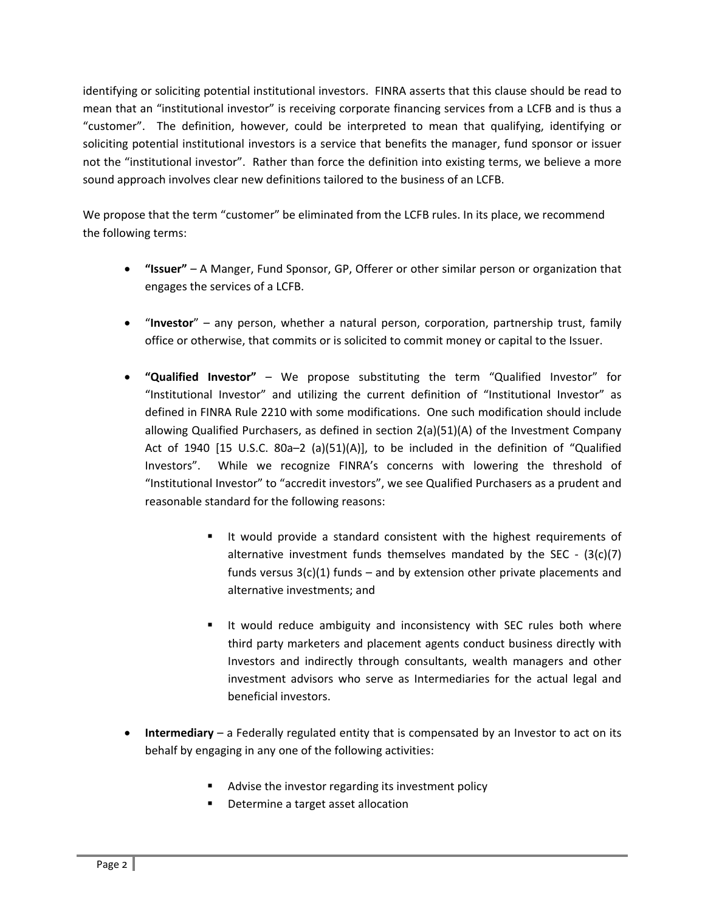identifying or soliciting potential institutional investors. FINRA asserts that this clause should be read to mean that an "institutional investor" is receiving corporate financing services from a LCFB and is thus a "customer". The definition, however, could be interpreted to mean that qualifying, identifying or soliciting potential institutional investors is a service that benefits the manager, fund sponsor or issuer not the "institutional investor". Rather than force the definition into existing terms, we believe a more sound approach involves clear new definitions tailored to the business of an LCFB.

We propose that the term "customer" be eliminated from the LCFB rules. In its place, we recommend the following terms:

- **"Issuer"** A Manger, Fund Sponsor, GP, Offerer or other similar person or organization that engages the services of a LCFB.
- "**Investor**" any person, whether a natural person, corporation, partnership trust, family office or otherwise, that commits or is solicited to commit money or capital to the Issuer.
- **"Qualified Investor"** We propose substituting the term "Qualified Investor" for "Institutional Investor" and utilizing the current definition of "Institutional Investor" as defined in FINRA Rule 2210 with some modifications. One such modification should include allowing Qualified Purchasers, as defined in section 2(a)(51)(A) of the Investment Company Act of 1940 [15 U.S.C. 80a–2 (a)(51)(A)], to be included in the definition of "Qualified Investors". While we recognize FINRA's concerns with lowering the threshold of "Institutional Investor" to "accredit investors", we see Qualified Purchasers as a prudent and reasonable standard for the following reasons:
	- **If would provide a standard consistent with the highest requirements of** alternative investment funds themselves mandated by the SEC  $-$  (3(c)(7) funds versus  $3(c)(1)$  funds – and by extension other private placements and alternative investments; and
	- **If would reduce ambiguity and inconsistency with SEC rules both where** third party marketers and placement agents conduct business directly with Investors and indirectly through consultants, wealth managers and other investment advisors who serve as Intermediaries for the actual legal and beneficial investors.
- **Intermediary** a Federally regulated entity that is compensated by an Investor to act on its behalf by engaging in any one of the following activities:
	- **EXECT** Advise the investor regarding its investment policy
	- Determine a target asset allocation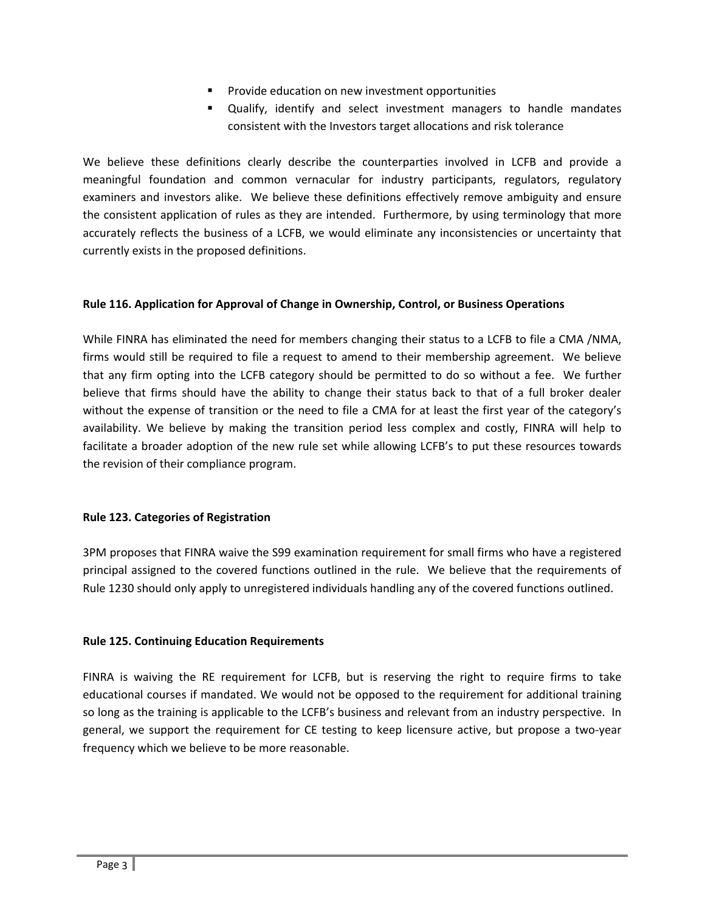- **Provide education on new investment opportunities**
- Qualify, identify and select investment managers to handle mandates consistent with the Investors target allocations and risk tolerance

We believe these definitions clearly describe the counterparties involved in LCFB and provide a meaningful foundation and common vernacular for industry participants, regulators, regulatory examiners and investors alike. We believe these definitions effectively remove ambiguity and ensure the consistent application of rules as they are intended. Furthermore, by using terminology that more accurately reflects the business of a LCFB, we would eliminate any inconsistencies or uncertainty that currently exists in the proposed definitions.

## **Rule 116. Application for Approval of Change in Ownership, Control, or Business Operations**

While FINRA has eliminated the need for members changing their status to a LCFB to file a CMA /NMA, firms would still be required to file a request to amend to their membership agreement. We believe that any firm opting into the LCFB category should be permitted to do so without a fee. We further believe that firms should have the ability to change their status back to that of a full broker dealer without the expense of transition or the need to file a CMA for at least the first year of the category's availability. We believe by making the transition period less complex and costly, FINRA will help to facilitate a broader adoption of the new rule set while allowing LCFB's to put these resources towards the revision of their compliance program.

#### **Rule 123. Categories of Registration**

3PM proposes that FINRA waive the S99 examination requirement for small firms who have a registered principal assigned to the covered functions outlined in the rule. We believe that the requirements of Rule 1230 should only apply to unregistered individuals handling any of the covered functions outlined.

#### **Rule 125. Continuing Education Requirements**

FINRA is waiving the RE requirement for LCFB, but is reserving the right to require firms to take educational courses if mandated. We would not be opposed to the requirement for additional training so long as the training is applicable to the LCFB's business and relevant from an industry perspective. In general, we support the requirement for CE testing to keep licensure active, but propose a two‐year frequency which we believe to be more reasonable.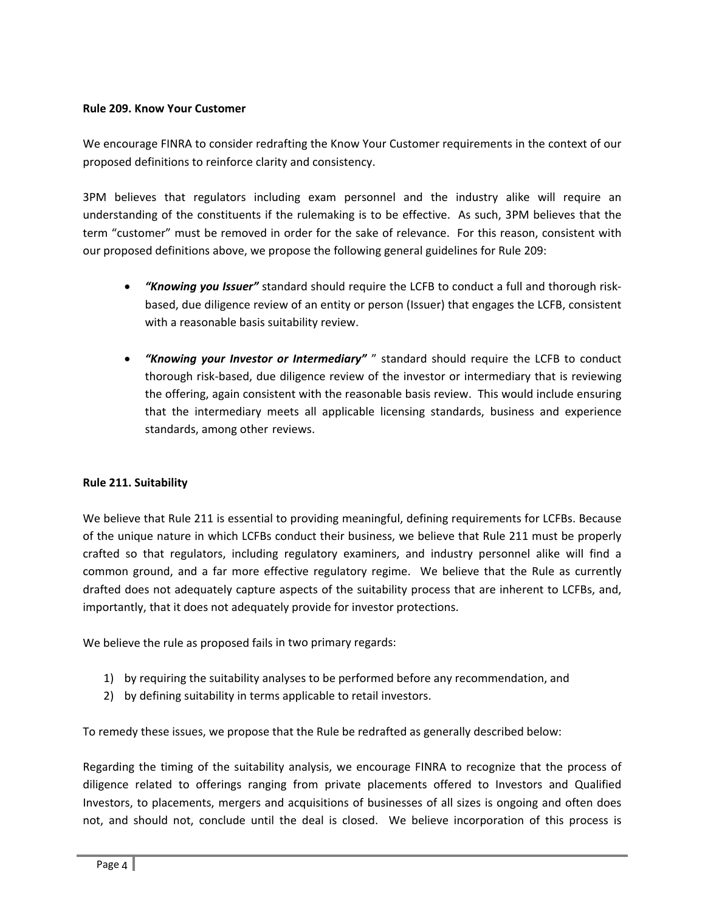#### **Rule 209. Know Your Customer**

We encourage FINRA to consider redrafting the Know Your Customer requirements in the context of our proposed definitions to reinforce clarity and consistency.

3PM believes that regulators including exam personnel and the industry alike will require an understanding of the constituents if the rulemaking is to be effective. As such, 3PM believes that the term "customer" must be removed in order for the sake of relevance. For this reason, consistent with our proposed definitions above, we propose the following general guidelines for Rule 209:

- *"Knowing you Issuer"* standard should require the LCFB to conduct a full and thorough risk‐ based, due diligence review of an entity or person (Issuer) that engages the LCFB, consistent with a reasonable basis suitability review.
- *"Knowing your Investor or Intermediary"* " standard should require the LCFB to conduct thorough risk‐based, due diligence review of the investor or intermediary that is reviewing the offering, again consistent with the reasonable basis review. This would include ensuring that the intermediary meets all applicable licensing standards, business and experience standards, among other reviews.

## **Rule 211. Suitability**

We believe that Rule 211 is essential to providing meaningful, defining requirements for LCFBs. Because of the unique nature in which LCFBs conduct their business, we believe that Rule 211 must be properly crafted so that regulators, including regulatory examiners, and industry personnel alike will find a common ground, and a far more effective regulatory regime. We believe that the Rule as currently drafted does not adequately capture aspects of the suitability process that are inherent to LCFBs, and, importantly, that it does not adequately provide for investor protections.

We believe the rule as proposed fails in two primary regards:

- 1) by requiring the suitability analyses to be performed before any recommendation, and
- 2) by defining suitability in terms applicable to retail investors.

To remedy these issues, we propose that the Rule be redrafted as generally described below:

Regarding the timing of the suitability analysis, we encourage FINRA to recognize that the process of diligence related to offerings ranging from private placements offered to Investors and Qualified Investors, to placements, mergers and acquisitions of businesses of all sizes is ongoing and often does not, and should not, conclude until the deal is closed. We believe incorporation of this process is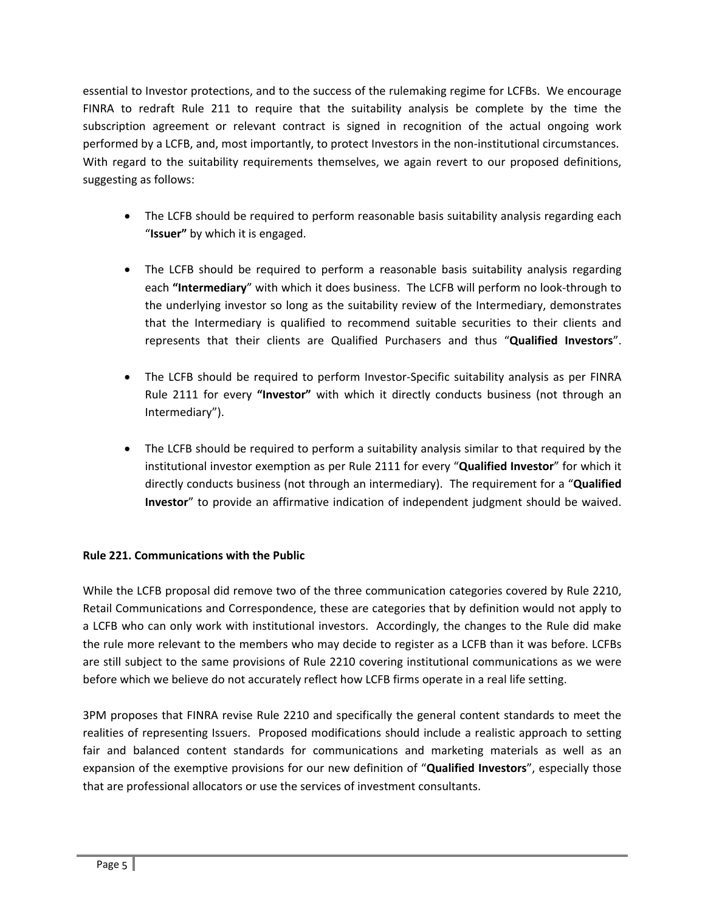essential to Investor protections, and to the success of the rulemaking regime for LCFBs. We encourage FINRA to redraft Rule 211 to require that the suitability analysis be complete by the time the subscription agreement or relevant contract is signed in recognition of the actual ongoing work performed by a LCFB, and, most importantly, to protect Investors in the non-institutional circumstances. With regard to the suitability requirements themselves, we again revert to our proposed definitions, suggesting as follows:

- The LCFB should be required to perform reasonable basis suitability analysis regarding each "**Issuer"** by which it is engaged.
- The LCFB should be required to perform a reasonable basis suitability analysis regarding each "Intermediary" with which it does business. The LCFB will perform no look-through to the underlying investor so long as the suitability review of the Intermediary, demonstrates that the Intermediary is qualified to recommend suitable securities to their clients and represents that their clients are Qualified Purchasers and thus "**Qualified Investors**".
- The LCFB should be required to perform Investor‐Specific suitability analysis as per FINRA Rule 2111 for every **"Investor"** with which it directly conducts business (not through an Intermediary").
- The LCFB should be required to perform a suitability analysis similar to that required by the institutional investor exemption as per Rule 2111 for every "**Qualified Investor**" for which it directly conducts business (not through an intermediary). The requirement for a "**Qualified Investor**" to provide an affirmative indication of independent judgment should be waived.

#### **Rule 221. Communications with the Public**

While the LCFB proposal did remove two of the three communication categories covered by Rule 2210, Retail Communications and Correspondence, these are categories that by definition would not apply to a LCFB who can only work with institutional investors. Accordingly, the changes to the Rule did make the rule more relevant to the members who may decide to register as a LCFB than it was before. LCFBs are still subject to the same provisions of Rule 2210 covering institutional communications as we were before which we believe do not accurately reflect how LCFB firms operate in a real life setting.

3PM proposes that FINRA revise Rule 2210 and specifically the general content standards to meet the realities of representing Issuers. Proposed modifications should include a realistic approach to setting fair and balanced content standards for communications and marketing materials as well as an expansion of the exemptive provisions for our new definition of "**Qualified Investors**", especially those that are professional allocators or use the services of investment consultants.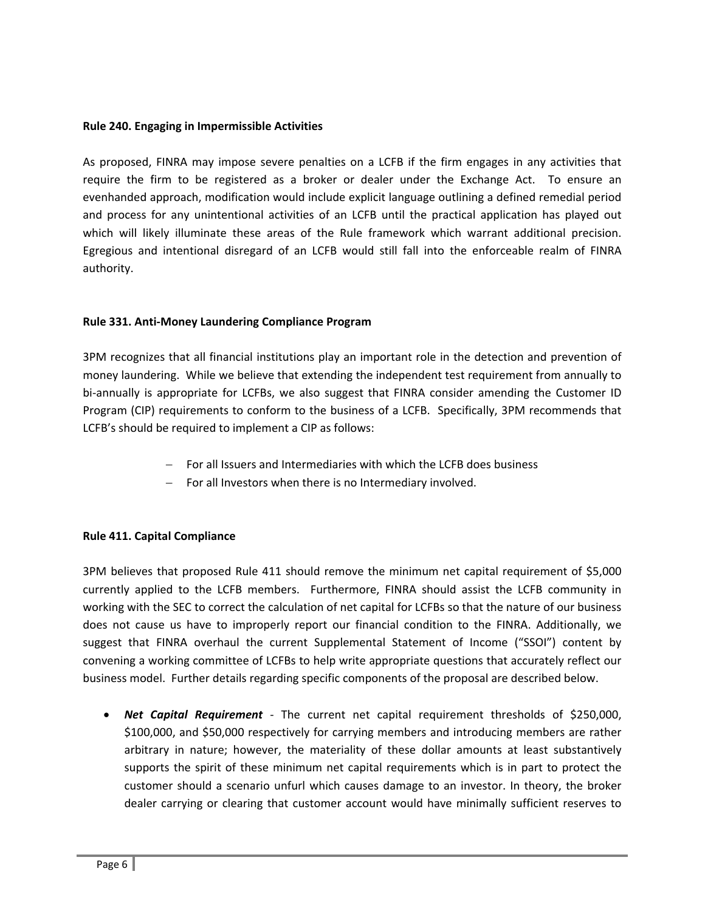#### **Rule 240. Engaging in Impermissible Activities**

As proposed, FINRA may impose severe penalties on a LCFB if the firm engages in any activities that require the firm to be registered as a broker or dealer under the Exchange Act. To ensure an evenhanded approach, modification would include explicit language outlining a defined remedial period and process for any unintentional activities of an LCFB until the practical application has played out which will likely illuminate these areas of the Rule framework which warrant additional precision. Egregious and intentional disregard of an LCFB would still fall into the enforceable realm of FINRA authority.

#### **Rule 331. Anti‐Money Laundering Compliance Program**

3PM recognizes that all financial institutions play an important role in the detection and prevention of money laundering. While we believe that extending the independent test requirement from annually to bi-annually is appropriate for LCFBs, we also suggest that FINRA consider amending the Customer ID Program (CIP) requirements to conform to the business of a LCFB. Specifically, 3PM recommends that LCFB's should be required to implement a CIP as follows:

- For all Issuers and Intermediaries with which the LCFB does business
- $-$  For all Investors when there is no Intermediary involved.

#### **Rule 411. Capital Compliance**

3PM believes that proposed Rule 411 should remove the minimum net capital requirement of \$5,000 currently applied to the LCFB members. Furthermore, FINRA should assist the LCFB community in working with the SEC to correct the calculation of net capital for LCFBs so that the nature of our business does not cause us have to improperly report our financial condition to the FINRA. Additionally, we suggest that FINRA overhaul the current Supplemental Statement of Income ("SSOI") content by convening a working committee of LCFBs to help write appropriate questions that accurately reflect our business model. Further details regarding specific components of the proposal are described below.

 *Net Capital Requirement* ‐ The current net capital requirement thresholds of \$250,000, \$100,000, and \$50,000 respectively for carrying members and introducing members are rather arbitrary in nature; however, the materiality of these dollar amounts at least substantively supports the spirit of these minimum net capital requirements which is in part to protect the customer should a scenario unfurl which causes damage to an investor. In theory, the broker dealer carrying or clearing that customer account would have minimally sufficient reserves to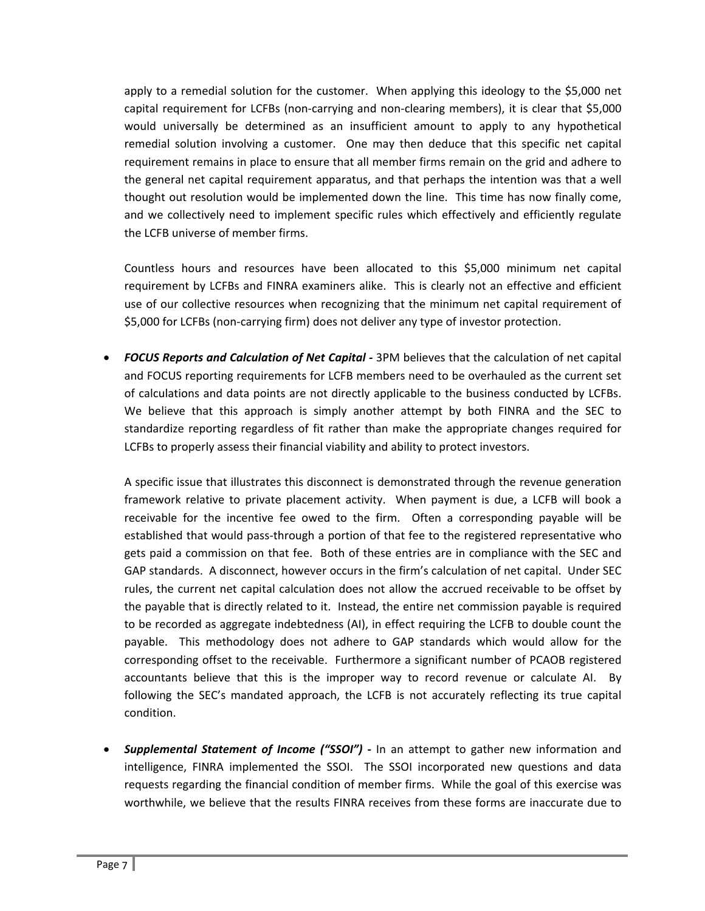apply to a remedial solution for the customer. When applying this ideology to the \$5,000 net capital requirement for LCFBs (non-carrying and non-clearing members), it is clear that \$5,000 would universally be determined as an insufficient amount to apply to any hypothetical remedial solution involving a customer. One may then deduce that this specific net capital requirement remains in place to ensure that all member firms remain on the grid and adhere to the general net capital requirement apparatus, and that perhaps the intention was that a well thought out resolution would be implemented down the line. This time has now finally come, and we collectively need to implement specific rules which effectively and efficiently regulate the LCFB universe of member firms.

Countless hours and resources have been allocated to this \$5,000 minimum net capital requirement by LCFBs and FINRA examiners alike. This is clearly not an effective and efficient use of our collective resources when recognizing that the minimum net capital requirement of \$5,000 for LCFBs (non‐carrying firm) does not deliver any type of investor protection.

 *FOCUS Reports and Calculation of Net Capital ‐* 3PM believes that the calculation of net capital and FOCUS reporting requirements for LCFB members need to be overhauled as the current set of calculations and data points are not directly applicable to the business conducted by LCFBs. We believe that this approach is simply another attempt by both FINRA and the SEC to standardize reporting regardless of fit rather than make the appropriate changes required for LCFBs to properly assess their financial viability and ability to protect investors.

A specific issue that illustrates this disconnect is demonstrated through the revenue generation framework relative to private placement activity. When payment is due, a LCFB will book a receivable for the incentive fee owed to the firm. Often a corresponding payable will be established that would pass-through a portion of that fee to the registered representative who gets paid a commission on that fee. Both of these entries are in compliance with the SEC and GAP standards. A disconnect, however occurs in the firm's calculation of net capital. Under SEC rules, the current net capital calculation does not allow the accrued receivable to be offset by the payable that is directly related to it. Instead, the entire net commission payable is required to be recorded as aggregate indebtedness (AI), in effect requiring the LCFB to double count the payable. This methodology does not adhere to GAP standards which would allow for the corresponding offset to the receivable. Furthermore a significant number of PCAOB registered accountants believe that this is the improper way to record revenue or calculate AI. By following the SEC's mandated approach, the LCFB is not accurately reflecting its true capital condition.

 *Supplemental Statement of Income ("SSOI")* **‐**  In an attempt to gather new information and intelligence, FINRA implemented the SSOI. The SSOI incorporated new questions and data requests regarding the financial condition of member firms. While the goal of this exercise was worthwhile, we believe that the results FINRA receives from these forms are inaccurate due to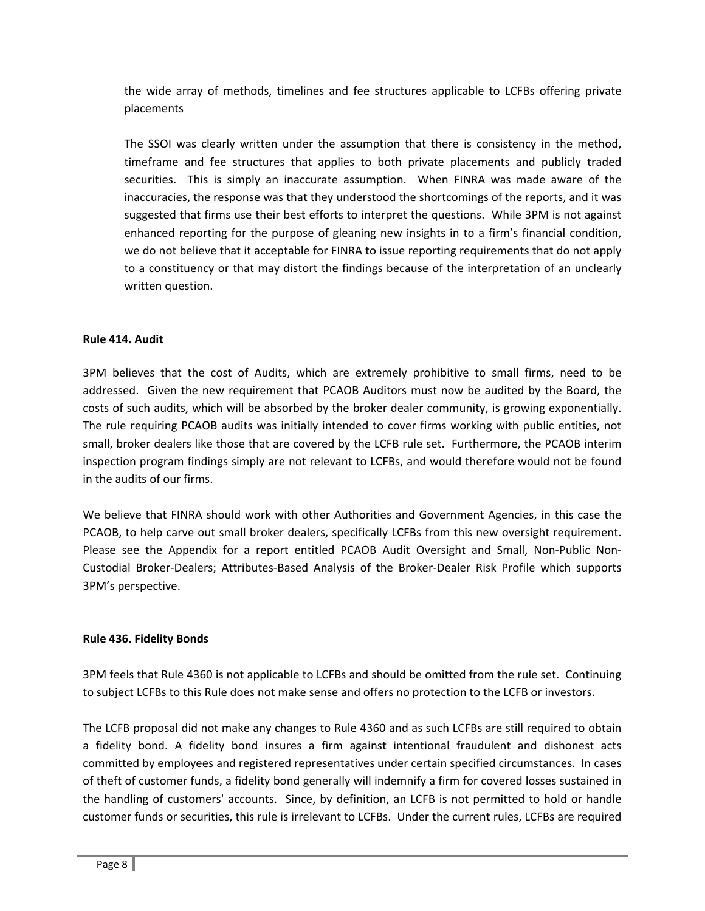the wide array of methods, timelines and fee structures applicable to LCFBs offering private placements

The SSOI was clearly written under the assumption that there is consistency in the method, timeframe and fee structures that applies to both private placements and publicly traded securities. This is simply an inaccurate assumption. When FINRA was made aware of the inaccuracies, the response was that they understood the shortcomings of the reports, and it was suggested that firms use their best efforts to interpret the questions. While 3PM is not against enhanced reporting for the purpose of gleaning new insights in to a firm's financial condition, we do not believe that it acceptable for FINRA to issue reporting requirements that do not apply to a constituency or that may distort the findings because of the interpretation of an unclearly written question.

#### **Rule 414. Audit**

3PM believes that the cost of Audits, which are extremely prohibitive to small firms, need to be addressed. Given the new requirement that PCAOB Auditors must now be audited by the Board, the costs of such audits, which will be absorbed by the broker dealer community, is growing exponentially. The rule requiring PCAOB audits was initially intended to cover firms working with public entities, not small, broker dealers like those that are covered by the LCFB rule set. Furthermore, the PCAOB interim inspection program findings simply are not relevant to LCFBs, and would therefore would not be found in the audits of our firms.

We believe that FINRA should work with other Authorities and Government Agencies, in this case the PCAOB, to help carve out small broker dealers, specifically LCFBs from this new oversight requirement. Please see the Appendix for a report entitled PCAOB Audit Oversight and Small, Non‐Public Non‐ Custodial Broker‐Dealers; Attributes‐Based Analysis of the Broker‐Dealer Risk Profile which supports 3PM's perspective.

#### **Rule 436. Fidelity Bonds**

3PM feels that Rule 4360 is not applicable to LCFBs and should be omitted from the rule set. Continuing to subject LCFBs to this Rule does not make sense and offers no protection to the LCFB or investors.

The LCFB proposal did not make any changes to Rule 4360 and as such LCFBs are still required to obtain a fidelity bond. A fidelity bond insures a firm against intentional fraudulent and dishonest acts committed by employees and registered representatives under certain specified circumstances. In cases of theft of customer funds, a fidelity bond generally will indemnify a firm for covered losses sustained in the handling of customers' accounts. Since, by definition, an LCFB is not permitted to hold or handle customer funds or securities, this rule is irrelevant to LCFBs. Under the current rules, LCFBs are required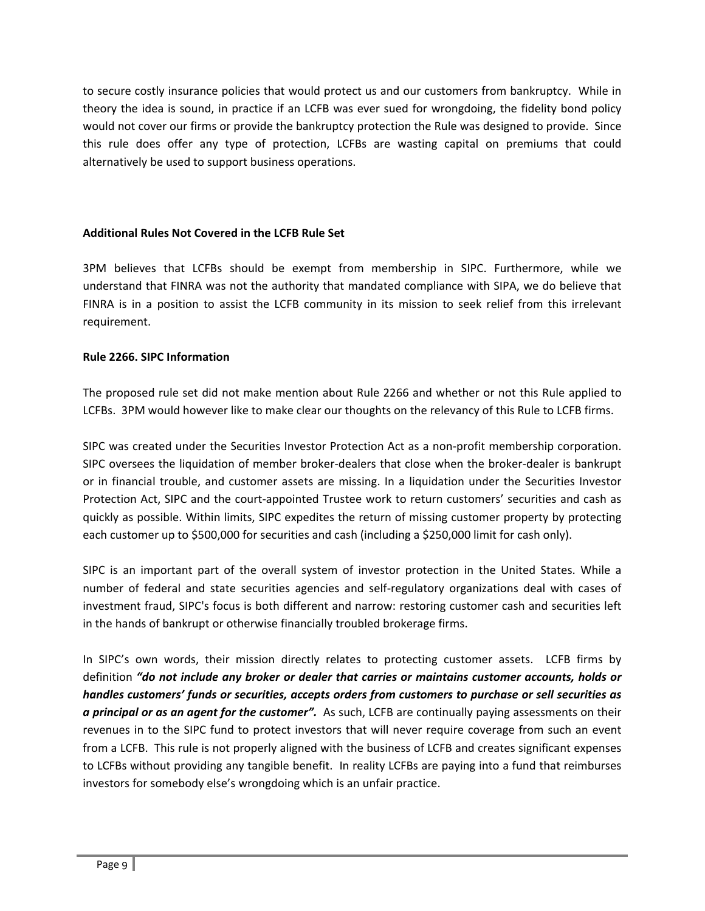to secure costly insurance policies that would protect us and our customers from bankruptcy. While in theory the idea is sound, in practice if an LCFB was ever sued for wrongdoing, the fidelity bond policy would not cover our firms or provide the bankruptcy protection the Rule was designed to provide. Since this rule does offer any type of protection, LCFBs are wasting capital on premiums that could alternatively be used to support business operations.

#### **Additional Rules Not Covered in the LCFB Rule Set**

3PM believes that LCFBs should be exempt from membership in SIPC. Furthermore, while we understand that FINRA was not the authority that mandated compliance with SIPA, we do believe that FINRA is in a position to assist the LCFB community in its mission to seek relief from this irrelevant requirement.

## **Rule 2266. SIPC Information**

The proposed rule set did not make mention about Rule 2266 and whether or not this Rule applied to LCFBs. 3PM would however like to make clear our thoughts on the relevancy of this Rule to LCFB firms.

SIPC was created under the Securities Investor Protection Act as a non‐profit membership corporation. SIPC oversees the liquidation of member broker‐dealers that close when the broker‐dealer is bankrupt or in financial trouble, and customer assets are missing. In a liquidation under the Securities Investor Protection Act, SIPC and the court-appointed Trustee work to return customers' securities and cash as quickly as possible. Within limits, SIPC expedites the return of missing customer property by protecting each customer up to \$500,000 for securities and cash (including a \$250,000 limit for cash only).

SIPC is an important part of the overall system of investor protection in the United States. While a number of federal and state securities agencies and self‐regulatory organizations deal with cases of investment fraud, SIPC's focus is both different and narrow: restoring customer cash and securities left in the hands of bankrupt or otherwise financially troubled brokerage firms.

In SIPC's own words, their mission directly relates to protecting customer assets. LCFB firms by definition *"do not include any broker or dealer that carries or maintains customer accounts, holds or handles customers' funds or securities, accepts orders from customers to purchase or sell securities as a principal or as an agent for the customer".* As such, LCFB are continually paying assessments on their revenues in to the SIPC fund to protect investors that will never require coverage from such an event from a LCFB. This rule is not properly aligned with the business of LCFB and creates significant expenses to LCFBs without providing any tangible benefit. In reality LCFBs are paying into a fund that reimburses investors for somebody else's wrongdoing which is an unfair practice.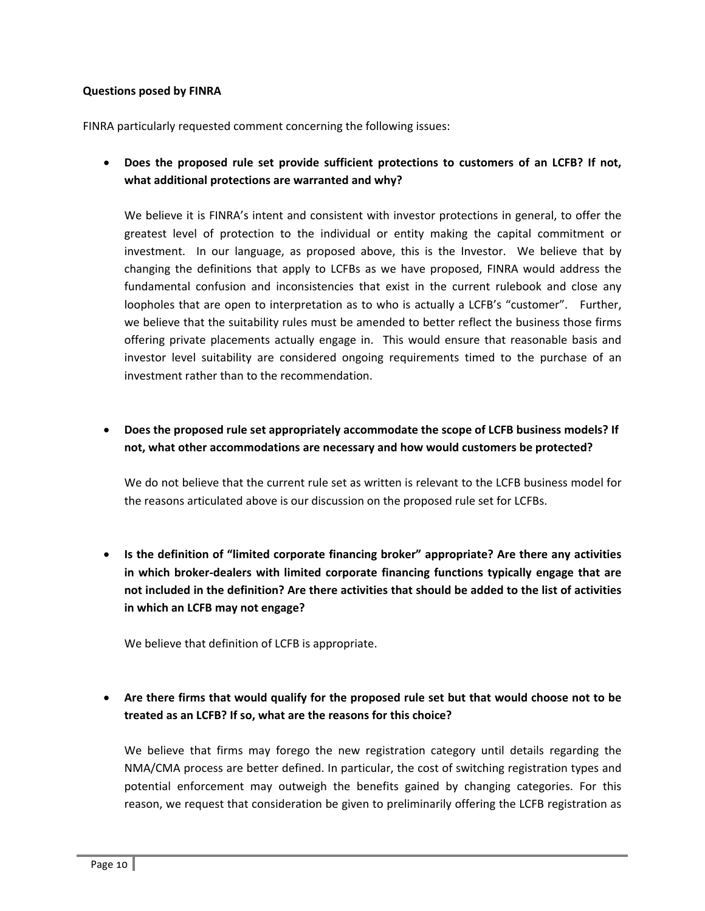#### **Questions posed by FINRA**

FINRA particularly requested comment concerning the following issues:

 **Does the proposed rule set provide sufficient protections to customers of an LCFB? If not, what additional protections are warranted and why?** 

We believe it is FINRA's intent and consistent with investor protections in general, to offer the greatest level of protection to the individual or entity making the capital commitment or investment. In our language, as proposed above, this is the Investor. We believe that by changing the definitions that apply to LCFBs as we have proposed, FINRA would address the fundamental confusion and inconsistencies that exist in the current rulebook and close any loopholes that are open to interpretation as to who is actually a LCFB's "customer". Further, we believe that the suitability rules must be amended to better reflect the business those firms offering private placements actually engage in. This would ensure that reasonable basis and investor level suitability are considered ongoing requirements timed to the purchase of an investment rather than to the recommendation.

 **Does the proposed rule set appropriately accommodate the scope of LCFB business models? If not, what other accommodations are necessary and how would customers be protected?**

We do not believe that the current rule set as written is relevant to the LCFB business model for the reasons articulated above is our discussion on the proposed rule set for LCFBs.

 **Is the definition of "limited corporate financing broker" appropriate? Are there any activities in which broker‐dealers with limited corporate financing functions typically engage that are not included in the definition? Are there activities that should be added to the list of activities in which an LCFB may not engage?** 

We believe that definition of LCFB is appropriate.

## **Are there firms that would qualify for the proposed rule set but that would choose not to be treated as an LCFB? If so, what are the reasons for this choice?**

We believe that firms may forego the new registration category until details regarding the NMA/CMA process are better defined. In particular, the cost of switching registration types and potential enforcement may outweigh the benefits gained by changing categories. For this reason, we request that consideration be given to preliminarily offering the LCFB registration as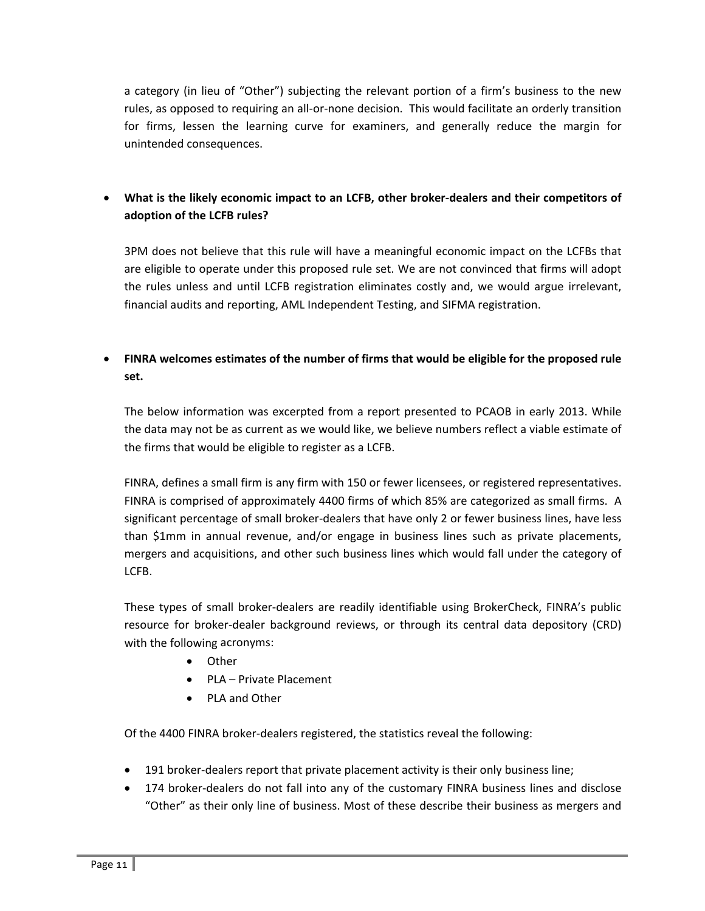a category (in lieu of "Other") subjecting the relevant portion of a firm's business to the new rules, as opposed to requiring an all‐or‐none decision. This would facilitate an orderly transition for firms, lessen the learning curve for examiners, and generally reduce the margin for unintended consequences.

## **What is the likely economic impact to an LCFB, other broker‐dealers and their competitors of adoption of the LCFB rules?**

3PM does not believe that this rule will have a meaningful economic impact on the LCFBs that are eligible to operate under this proposed rule set. We are not convinced that firms will adopt the rules unless and until LCFB registration eliminates costly and, we would argue irrelevant, financial audits and reporting, AML Independent Testing, and SIFMA registration.

## **FINRA welcomes estimates of the number of firms that would be eligible for the proposed rule set.**

The below information was excerpted from a report presented to PCAOB in early 2013. While the data may not be as current as we would like, we believe numbers reflect a viable estimate of the firms that would be eligible to register as a LCFB.

FINRA, defines a small firm is any firm with 150 or fewer licensees, or registered representatives. FINRA is comprised of approximately 4400 firms of which 85% are categorized as small firms. A significant percentage of small broker-dealers that have only 2 or fewer business lines, have less than \$1mm in annual revenue, and/or engage in business lines such as private placements, mergers and acquisitions, and other such business lines which would fall under the category of LCFB.

These types of small broker‐dealers are readily identifiable using BrokerCheck, FINRA's public resource for broker-dealer background reviews, or through its central data depository (CRD) with the following acronyms:

- Other
- PLA Private Placement
- PLA and Other

Of the 4400 FINRA broker‐dealers registered, the statistics reveal the following:

- 191 broker-dealers report that private placement activity is their only business line;
- 174 broker-dealers do not fall into any of the customary FINRA business lines and disclose "Other" as their only line of business. Most of these describe their business as mergers and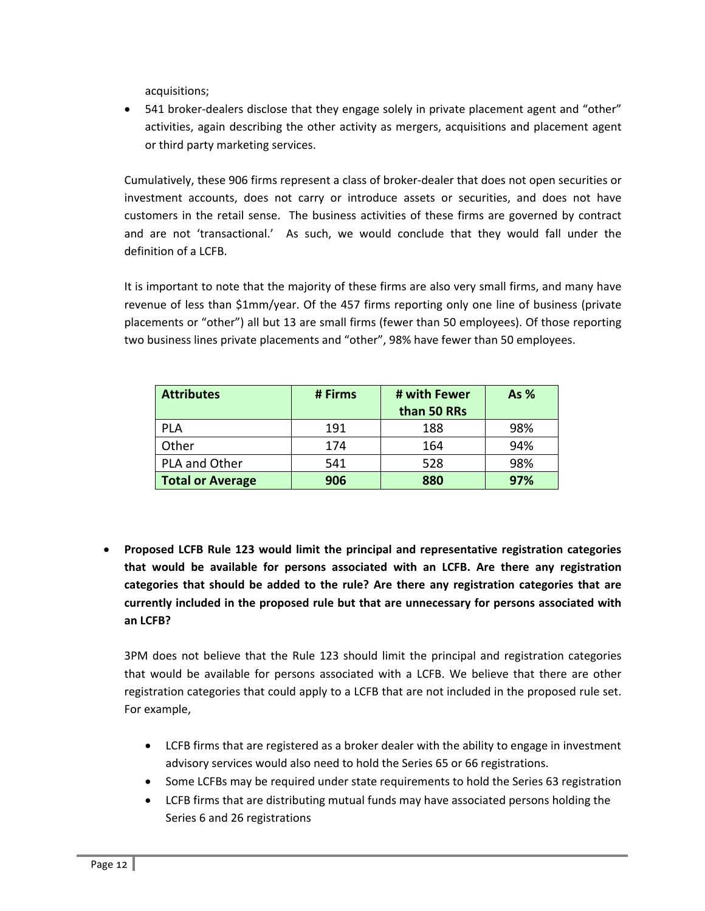acquisitions;

■ 541 broker-dealers disclose that they engage solely in private placement agent and "other" activities, again describing the other activity as mergers, acquisitions and placement agent or third party marketing services.

Cumulatively, these 906 firms represent a class of broker‐dealer that does not open securities or investment accounts, does not carry or introduce assets or securities, and does not have customers in the retail sense. The business activities of these firms are governed by contract and are not 'transactional.' As such, we would conclude that they would fall under the definition of a LCFB.

It is important to note that the majority of these firms are also very small firms, and many have revenue of less than \$1mm/year. Of the 457 firms reporting only one line of business (private placements or "other") all but 13 are small firms (fewer than 50 employees). Of those reporting two business lines private placements and "other", 98% have fewer than 50 employees.

| <b>Attributes</b>       | # Firms | # with Fewer<br>than 50 RRs | As $%$ |
|-------------------------|---------|-----------------------------|--------|
| <b>PLA</b>              | 191     | 188                         | 98%    |
| Other                   | 174     | 164                         | 94%    |
| PLA and Other           | 541     | 528                         | 98%    |
| <b>Total or Average</b> | 906     | 880                         | 97%    |

 **Proposed LCFB Rule 123 would limit the principal and representative registration categories that would be available for persons associated with an LCFB. Are there any registration categories that should be added to the rule? Are there any registration categories that are currently included in the proposed rule but that are unnecessary for persons associated with an LCFB?**

3PM does not believe that the Rule 123 should limit the principal and registration categories that would be available for persons associated with a LCFB. We believe that there are other registration categories that could apply to a LCFB that are not included in the proposed rule set. For example,

- LCFB firms that are registered as a broker dealer with the ability to engage in investment advisory services would also need to hold the Series 65 or 66 registrations.
- Some LCFBs may be required under state requirements to hold the Series 63 registration
- LCFB firms that are distributing mutual funds may have associated persons holding the Series 6 and 26 registrations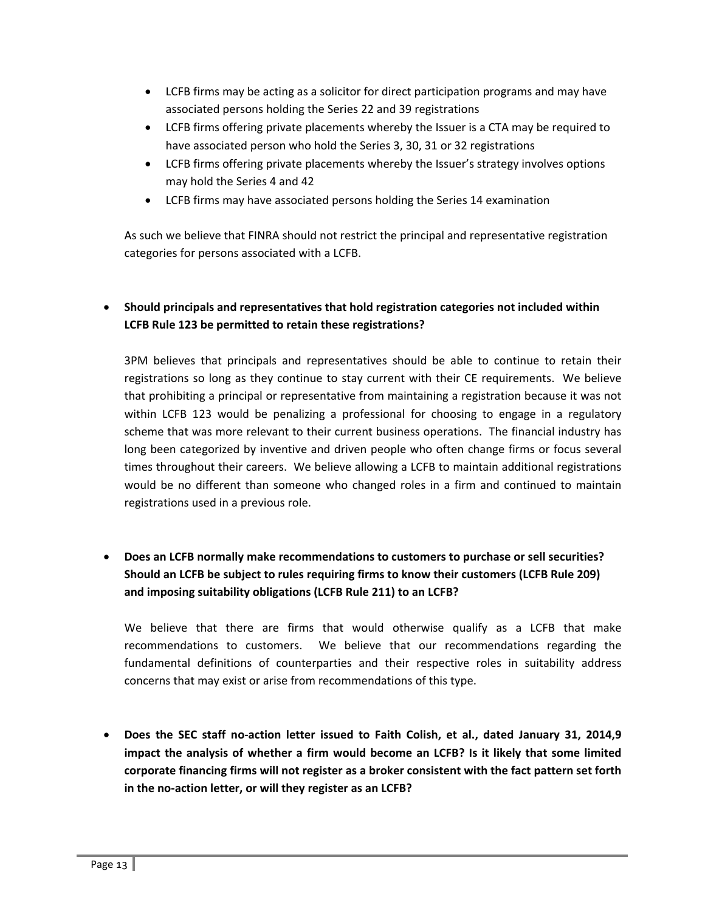- LCFB firms may be acting as a solicitor for direct participation programs and may have associated persons holding the Series 22 and 39 registrations
- LCFB firms offering private placements whereby the Issuer is a CTA may be required to have associated person who hold the Series 3, 30, 31 or 32 registrations
- LCFB firms offering private placements whereby the Issuer's strategy involves options may hold the Series 4 and 42
- LCFB firms may have associated persons holding the Series 14 examination

As such we believe that FINRA should not restrict the principal and representative registration categories for persons associated with a LCFB.

## **Should principals and representatives that hold registration categories not included within LCFB Rule 123 be permitted to retain these registrations?**

3PM believes that principals and representatives should be able to continue to retain their registrations so long as they continue to stay current with their CE requirements. We believe that prohibiting a principal or representative from maintaining a registration because it was not within LCFB 123 would be penalizing a professional for choosing to engage in a regulatory scheme that was more relevant to their current business operations. The financial industry has long been categorized by inventive and driven people who often change firms or focus several times throughout their careers. We believe allowing a LCFB to maintain additional registrations would be no different than someone who changed roles in a firm and continued to maintain registrations used in a previous role.

## **Does an LCFB normally make recommendations to customers to purchase or sell securities? Should an LCFB be subject to rules requiring firms to know their customers (LCFB Rule 209) and imposing suitability obligations (LCFB Rule 211) to an LCFB?**

We believe that there are firms that would otherwise qualify as a LCFB that make recommendations to customers. We believe that our recommendations regarding the fundamental definitions of counterparties and their respective roles in suitability address concerns that may exist or arise from recommendations of this type.

 **Does the SEC staff no‐action letter issued to Faith Colish, et al., dated January 31, 2014,9 impact the analysis of whether a firm would become an LCFB? Is it likely that some limited corporate financing firms will not register as a broker consistent with the fact pattern set forth in the no‐action letter, or will they register as an LCFB?**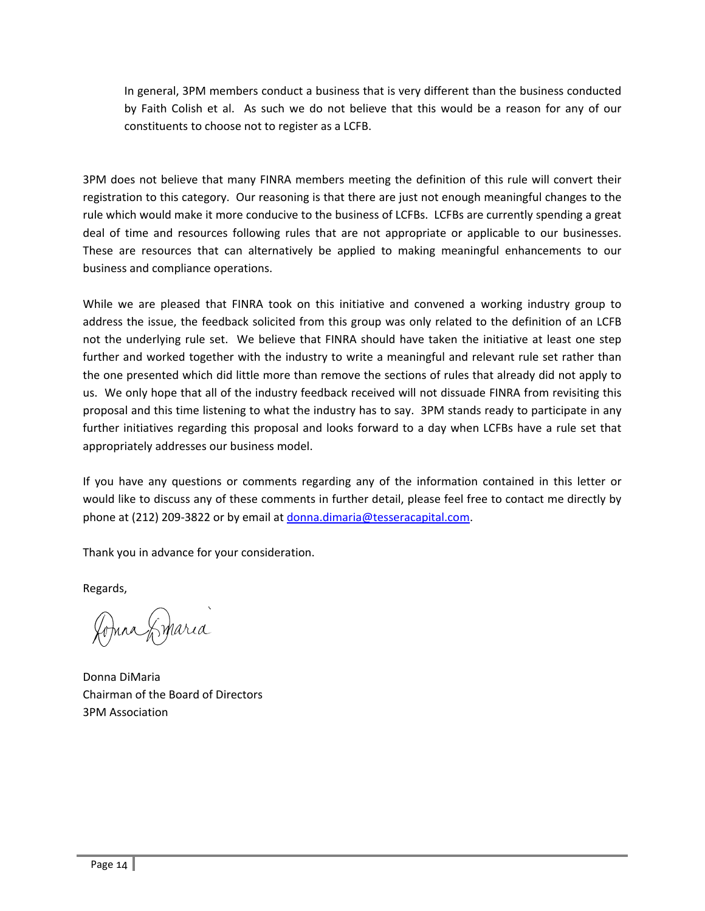In general, 3PM members conduct a business that is very different than the business conducted by Faith Colish et al. As such we do not believe that this would be a reason for any of our constituents to choose not to register as a LCFB.

3PM does not believe that many FINRA members meeting the definition of this rule will convert their registration to this category. Our reasoning is that there are just not enough meaningful changes to the rule which would make it more conducive to the business of LCFBs. LCFBs are currently spending a great deal of time and resources following rules that are not appropriate or applicable to our businesses. These are resources that can alternatively be applied to making meaningful enhancements to our business and compliance operations.

While we are pleased that FINRA took on this initiative and convened a working industry group to address the issue, the feedback solicited from this group was only related to the definition of an LCFB not the underlying rule set. We believe that FINRA should have taken the initiative at least one step further and worked together with the industry to write a meaningful and relevant rule set rather than the one presented which did little more than remove the sections of rules that already did not apply to us. We only hope that all of the industry feedback received will not dissuade FINRA from revisiting this proposal and this time listening to what the industry has to say. 3PM stands ready to participate in any further initiatives regarding this proposal and looks forward to a day when LCFBs have a rule set that appropriately addresses our business model.

If you have any questions or comments regarding any of the information contained in this letter or would like to discuss any of these comments in further detail, please feel free to contact me directly by phone at (212) 209-3822 or by email at donna.dimaria@tesseracapital.com.

Thank you in advance for your consideration.

Regards,

Johna Sinaria

Donna DiMaria Chairman of the Board of Directors 3PM Association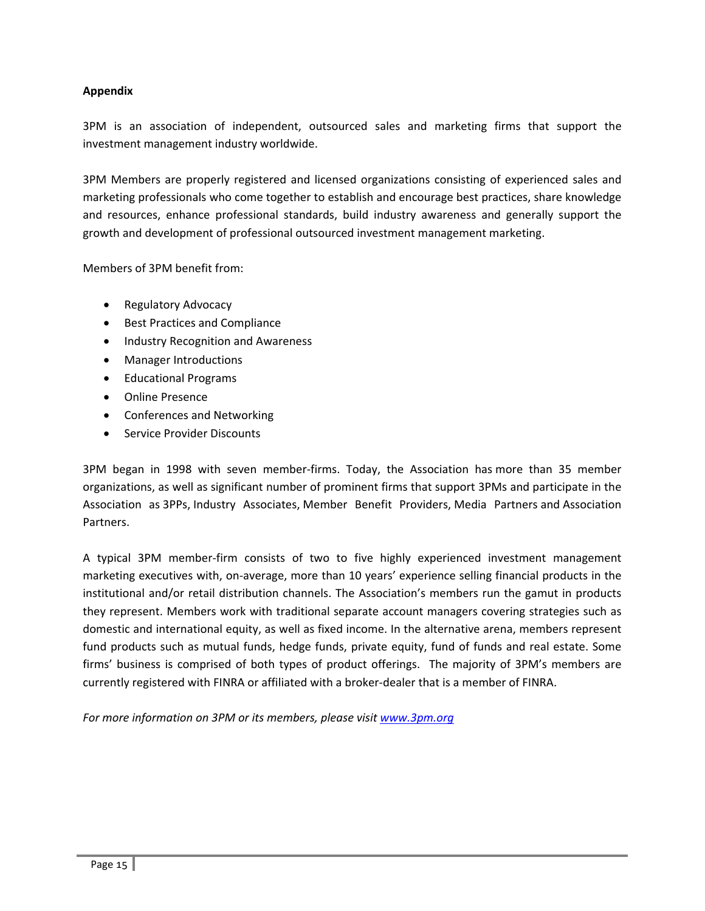## **Appendix**

3PM is an association of independent, outsourced sales and marketing firms that support the investment management industry worldwide.

3PM Members are properly registered and licensed organizations consisting of experienced sales and marketing professionals who come together to establish and encourage best practices, share knowledge and resources, enhance professional standards, build industry awareness and generally support the growth and development of professional outsourced investment management marketing.

Members of 3PM benefit from:

- Regulatory Advocacy
- **•** Best Practices and Compliance
- Industry Recognition and Awareness
- Manager Introductions
- Educational Programs
- Online Presence
- Conferences and Networking
- Service Provider Discounts

3PM began in 1998 with seven member‐firms. Today, the Association has more than 35 member organizations, as well as significant number of prominent firms that support 3PMs and participate in the Association as 3PPs, Industry Associates, Member Benefit Providers, Media Partners and Association Partners.

A typical 3PM member‐firm consists of two to five highly experienced investment management marketing executives with, on-average, more than 10 years' experience selling financial products in the institutional and/or retail distribution channels. The Association's members run the gamut in products they represent. Members work with traditional separate account managers covering strategies such as domestic and international equity, as well as fixed income. In the alternative arena, members represent fund products such as mutual funds, hedge funds, private equity, fund of funds and real estate. Some firms' business is comprised of both types of product offerings. The majority of 3PM's members are currently registered with FINRA or affiliated with a broker‐dealer that is a member of FINRA.

*For more information on 3PM or its members, please visit www.3pm.org*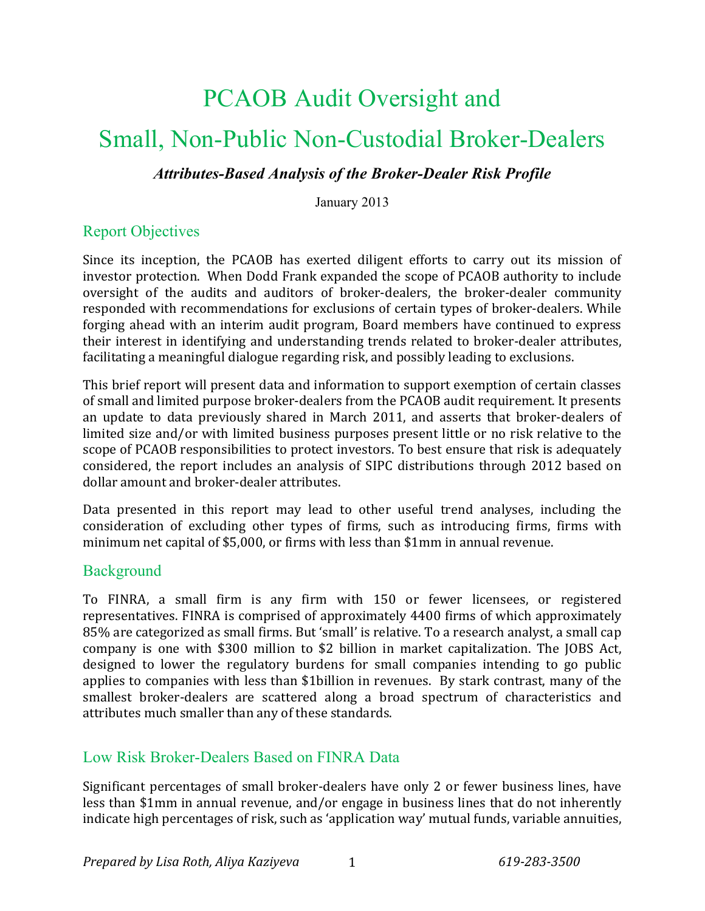# PCAOB Audit Oversight and

## Small, Non-Public Non-Custodial Broker-Dealers

## *Attributes-Based Analysis of the Broker-Dealer Risk Profile*

January 2013

## Report Objectives

Since its inception, the PCAOB has exerted diligent efforts to carry out its mission of investor protection. When Dodd Frank expanded the scope of PCAOB authority to include oversight of the audits and auditors of broker-dealers, the broker-dealer community responded with recommendations for exclusions of certain types of broker-dealers. While forging ahead with an interim audit program, Board members have continued to express their interest in identifying and understanding trends related to broker-dealer attributes, facilitating a meaningful dialogue regarding risk, and possibly leading to exclusions.

This brief report will present data and information to support exemption of certain classes of small and limited purpose broker-dealers from the PCAOB audit requirement. It presents an update to data previously shared in March 2011, and asserts that broker-dealers of limited size and/or with limited business purposes present little or no risk relative to the scope of PCAOB responsibilities to protect investors. To best ensure that risk is adequately considered, the report includes an analysis of SIPC distributions through 2012 based on dollar amount and broker-dealer attributes.

Data presented in this report may lead to other useful trend analyses, including the consideration of excluding other types of firms, such as introducing firms, firms with minimum net capital of \$5,000, or firms with less than \$1mm in annual revenue.

## **Background**

To FINRA, a small firm is any firm with 150 or fewer licensees, or registered representatives. FINRA is comprised of approximately 4400 firms of which approximately 85% are categorized as small firms. But 'small' is relative. To a research analyst, a small cap company is one with \$300 million to \$2 billion in market capitalization. The JOBS Act, designed to lower the regulatory burdens for small companies intending to go public applies to companies with less than \$1billion in revenues. By stark contrast, many of the smallest broker-dealers are scattered along a broad spectrum of characteristics and attributes much smaller than any of these standards.

## Low Risk Broker-Dealers Based on FINRA Data

Significant percentages of small broker-dealers have only 2 or fewer business lines, have less than \$1mm in annual revenue, and/or engage in business lines that do not inherently indicate high percentages of risk, such as 'application way' mutual funds, variable annuities,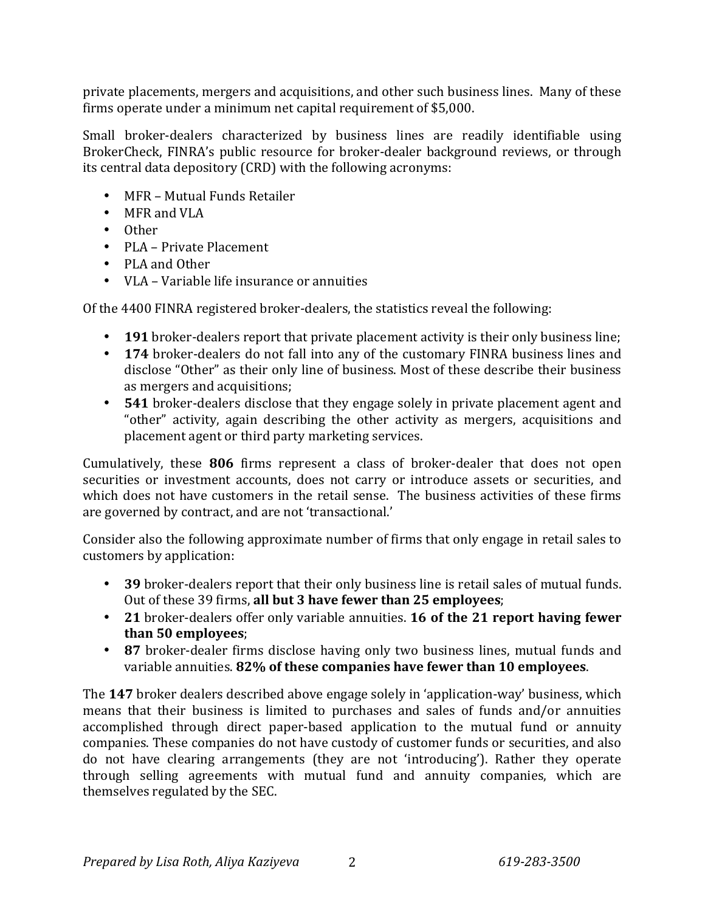private placements, mergers and acquisitions, and other such business lines. Many of these firms operate under a minimum net capital requirement of \$5,000.

Small broker-dealers characterized by business lines are readily identifiable using BrokerCheck, FINRA's public resource for broker-dealer background reviews, or through its central data depository (CRD) with the following acronyms:

- MFR Mutual Funds Retailer
- MFR and VLA
- Other
- PLA Private Placement
- PLA and Other
- VLA Variable life insurance or annuities

Of the 4400 FINRA registered broker-dealers, the statistics reveal the following:

- 191 broker-dealers report that private placement activity is their only business line;
- 174 broker-dealers do not fall into any of the customary FINRA business lines and disclose "Other" as their only line of business. Most of these describe their business as mergers and acquisitions;
- 541 broker-dealers disclose that they engage solely in private placement agent and "other" activity, again describing the other activity as mergers, acquisitions and placement agent or third party marketing services.

Cumulatively, these 806 firms represent a class of broker-dealer that does not open securities or investment accounts, does not carry or introduce assets or securities, and which does not have customers in the retail sense. The business activities of these firms are governed by contract, and are not 'transactional.'

Consider also the following approximate number of firms that only engage in retail sales to customers by application:

- 39 broker-dealers report that their only business line is retail sales of mutual funds. Out of these 39 firms, all but 3 have fewer than 25 employees;
- 21 broker-dealers offer only variable annuities. 16 of the 21 report having fewer **than 50 employees**;
- 87 broker-dealer firms disclose having only two business lines, mutual funds and variable annuities. 82% of these companies have fewer than 10 employees.

The 147 broker dealers described above engage solely in 'application-way' business, which means that their business is limited to purchases and sales of funds and/or annuities accomplished through direct paper-based application to the mutual fund or annuity companies. These companies do not have custody of customer funds or securities, and also do not have clearing arrangements (they are not 'introducing'). Rather they operate through selling agreements with mutual fund and annuity companies, which are themselves regulated by the SEC.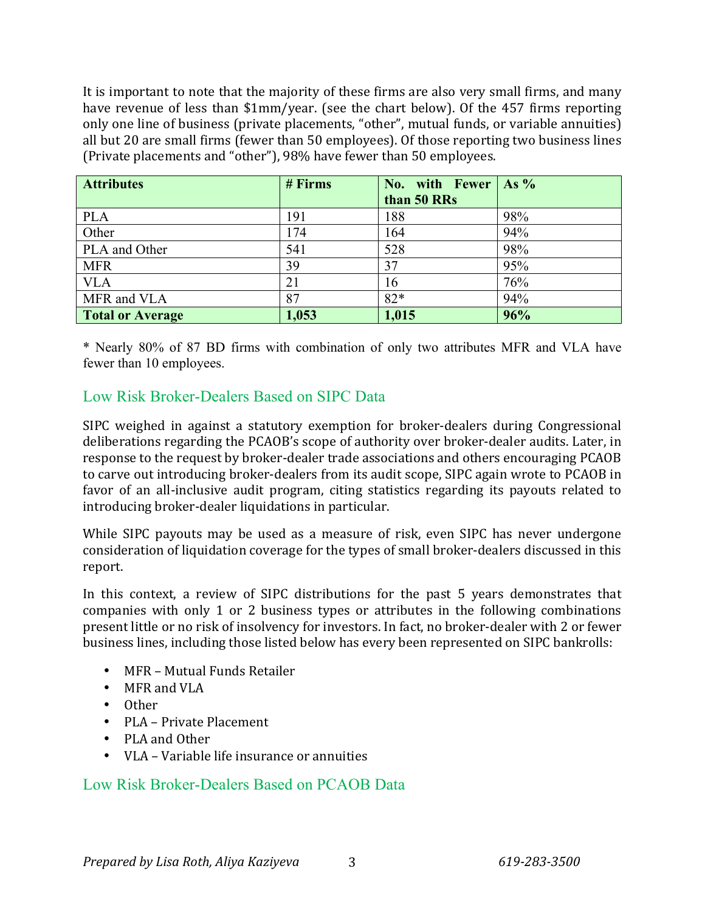It is important to note that the majority of these firms are also very small firms, and many have revenue of less than \$1mm/year. (see the chart below). Of the 457 firms reporting only one line of business (private placements, "other", mutual funds, or variable annuities) all but 20 are small firms (fewer than 50 employees). Of those reporting two business lines (Private placements and "other"), 98% have fewer than 50 employees.

| <b>Attributes</b>       | # Firms | No. with Fewer $\vert$ As %<br>than 50 RRs |     |
|-------------------------|---------|--------------------------------------------|-----|
| <b>PLA</b>              | 191     | 188                                        | 98% |
| Other                   | 174     | 164                                        | 94% |
| PLA and Other           | 541     | 528                                        | 98% |
| <b>MFR</b>              | 39      | 37                                         | 95% |
| <b>VLA</b>              | 21      | 16                                         | 76% |
| MFR and VLA             | 87      | $82*$                                      | 94% |
| <b>Total or Average</b> | 1,053   | 1,015                                      | 96% |

\* Nearly 80% of 87 BD firms with combination of only two attributes MFR and VLA have fewer than 10 employees.

## Low Risk Broker-Dealers Based on SIPC Data

SIPC weighed in against a statutory exemption for broker-dealers during Congressional deliberations regarding the PCAOB's scope of authority over broker-dealer audits. Later, in response to the request by broker-dealer trade associations and others encouraging PCAOB to carve out introducing broker-dealers from its audit scope, SIPC again wrote to PCAOB in favor of an all-inclusive audit program, citing statistics regarding its payouts related to introducing broker-dealer liquidations in particular.

While SIPC payouts may be used as a measure of risk, even SIPC has never undergone consideration of liquidation coverage for the types of small broker-dealers discussed in this report.

In this context, a review of SIPC distributions for the past 5 years demonstrates that companies with only 1 or 2 business types or attributes in the following combinations present little or no risk of insolvency for investors. In fact, no broker-dealer with 2 or fewer business lines, including those listed below has every been represented on SIPC bankrolls:

- MFR Mutual Funds Retailer
- MFR and VLA
- Other
- PLA Private Placement
- PLA and Other
- VLA Variable life insurance or annuities

## Low Risk Broker-Dealers Based on PCAOB Data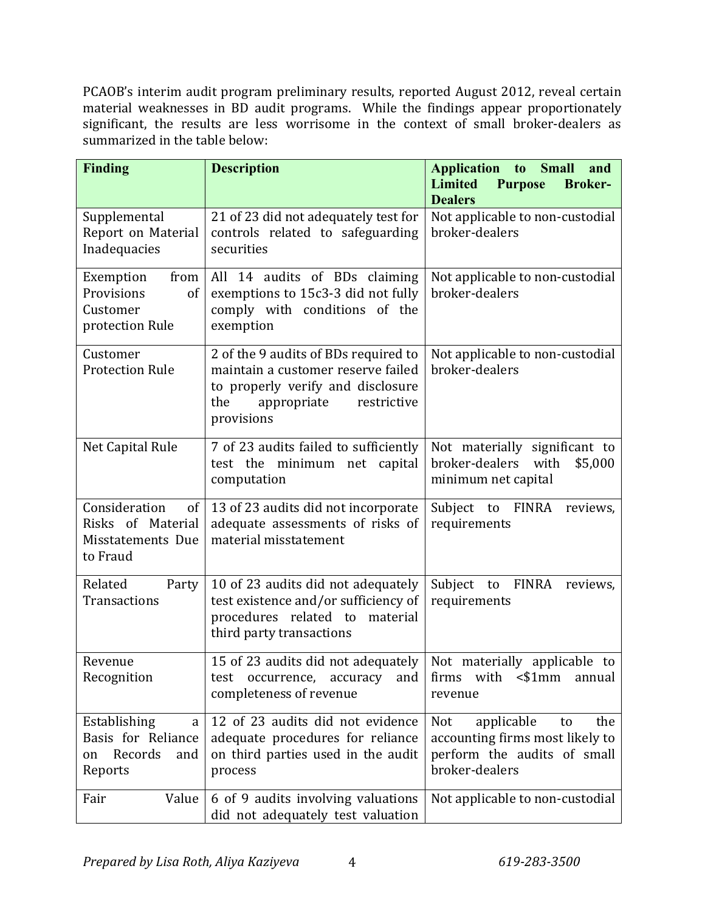PCAOB's interim audit program preliminary results, reported August 2012, reveal certain material weaknesses in BD audit programs. While the findings appear proportionately significant, the results are less worrisome in the context of small broker-dealers as summarized in the table below:

| <b>Finding</b>                                                             | <b>Description</b>                                                                                                                                                 | Application to<br><b>Small</b><br>and<br><b>Limited</b><br><b>Purpose</b><br><b>Broker-</b><br><b>Dealers</b>             |
|----------------------------------------------------------------------------|--------------------------------------------------------------------------------------------------------------------------------------------------------------------|---------------------------------------------------------------------------------------------------------------------------|
| Supplemental<br>Report on Material<br>Inadequacies                         | 21 of 23 did not adequately test for<br>controls related to safeguarding<br>securities                                                                             | Not applicable to non-custodial<br>broker-dealers                                                                         |
| from<br>Exemption<br>Provisions<br>of<br>Customer<br>protection Rule       | All 14 audits of BDs claiming<br>exemptions to 15c3-3 did not fully<br>comply with conditions of the<br>exemption                                                  | Not applicable to non-custodial<br>broker-dealers                                                                         |
| Customer<br><b>Protection Rule</b>                                         | 2 of the 9 audits of BDs required to<br>maintain a customer reserve failed<br>to properly verify and disclosure<br>the<br>appropriate<br>restrictive<br>provisions | Not applicable to non-custodial<br>broker-dealers                                                                         |
| Net Capital Rule                                                           | 7 of 23 audits failed to sufficiently<br>test the minimum net<br>capital<br>computation                                                                            | Not materially significant to<br>broker-dealers<br>with<br>\$5,000<br>minimum net capital                                 |
| Consideration<br>of<br>Risks of Material<br>Misstatements Due<br>to Fraud  | 13 of 23 audits did not incorporate<br>adequate assessments of risks of<br>material misstatement                                                                   | Subject<br><b>FINRA</b><br>to<br>reviews,<br>requirements                                                                 |
| Related<br>Party<br>Transactions                                           | 10 of 23 audits did not adequately<br>test existence and/or sufficiency of<br>procedures related to material<br>third party transactions                           | Subject to FINRA<br>reviews,<br>requirements                                                                              |
| Revenue<br>Recognition                                                     | 15 of 23 audits did not adequately<br>and<br>test occurrence, accuracy<br>completeness of revenue                                                                  | Not materially applicable to<br>firms with <\$1mm<br>annual<br>revenue                                                    |
| Establishing<br>a<br>Basis for Reliance<br>Records<br>and<br>on<br>Reports | 12 of 23 audits did not evidence<br>adequate procedures for reliance<br>on third parties used in the audit<br>process                                              | applicable<br><b>Not</b><br>to<br>the<br>accounting firms most likely to<br>perform the audits of small<br>broker-dealers |
| Value<br>Fair                                                              | 6 of 9 audits involving valuations<br>did not adequately test valuation                                                                                            | Not applicable to non-custodial                                                                                           |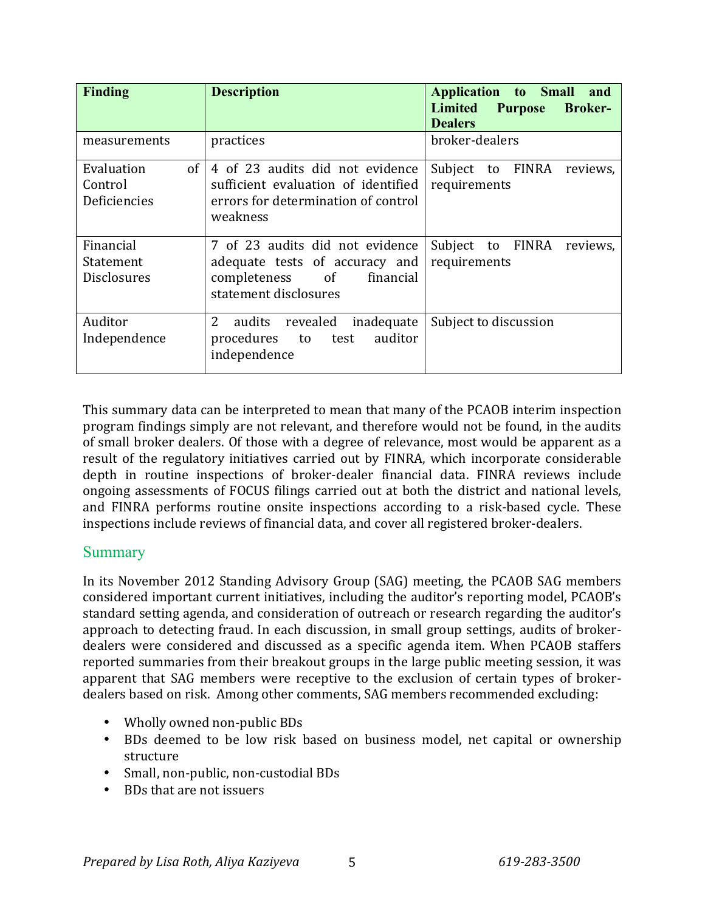| <b>Finding</b>                              | <b>Description</b>                                                                                                         | <b>Application</b> to Small<br>and<br><b>Limited Purpose</b><br><b>Broker-</b><br><b>Dealers</b> |
|---------------------------------------------|----------------------------------------------------------------------------------------------------------------------------|--------------------------------------------------------------------------------------------------|
| measurements                                | practices                                                                                                                  | broker-dealers                                                                                   |
| of<br>Evaluation<br>Control<br>Deficiencies | 4 of 23 audits did not evidence<br>sufficient evaluation of identified<br>errors for determination of control<br>weakness  | Subject to FINRA<br>reviews,<br>requirements                                                     |
| Financial<br>Statement<br>Disclosures       | 7 of 23 audits did not evidence<br>adequate tests of accuracy and<br>completeness of<br>financial<br>statement disclosures | Subject to FINRA<br>reviews,<br>requirements                                                     |
| Auditor<br>Independence                     | $\overline{2}$<br>revealed<br>audits<br>inadequate<br>auditor<br>procedures<br>to<br>test<br>independence                  | Subject to discussion                                                                            |

This summary data can be interpreted to mean that many of the PCAOB interim inspection program findings simply are not relevant, and therefore would not be found, in the audits of small broker dealers. Of those with a degree of relevance, most would be apparent as a result of the regulatory initiatives carried out by FINRA, which incorporate considerable depth in routine inspections of broker-dealer financial data. FINRA reviews include ongoing assessments of FOCUS filings carried out at both the district and national levels, and FINRA performs routine onsite inspections according to a risk-based cycle. These inspections include reviews of financial data, and cover all registered broker-dealers.

## **Summary**

In its November 2012 Standing Advisory Group (SAG) meeting, the PCAOB SAG members considered important current initiatives, including the auditor's reporting model, PCAOB's standard setting agenda, and consideration of outreach or research regarding the auditor's approach to detecting fraud. In each discussion, in small group settings, audits of brokerdealers were considered and discussed as a specific agenda item. When PCAOB staffers reported summaries from their breakout groups in the large public meeting session, it was apparent that SAG members were receptive to the exclusion of certain types of brokerdealers based on risk. Among other comments, SAG members recommended excluding:

- Wholly owned non-public BDs
- BDs deemed to be low risk based on business model, net capital or ownership structure
- Small, non-public, non-custodial BDs
- BDs that are not issuers